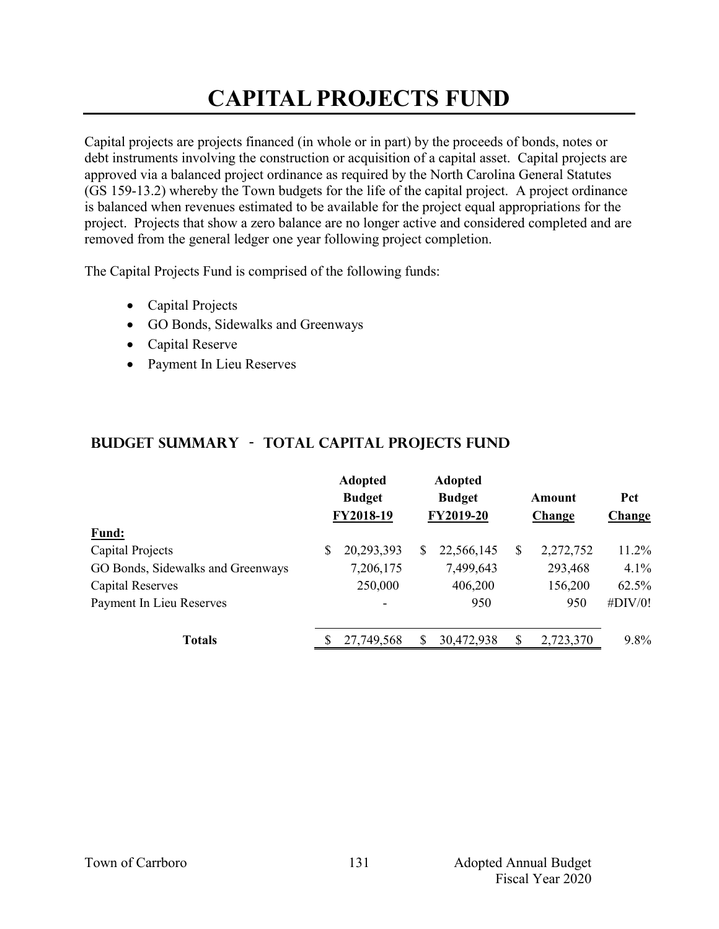## **CAPITAL PROJECTS FUND**

Capital projects are projects financed (in whole or in part) by the proceeds of bonds, notes or debt instruments involving the construction or acquisition of a capital asset. Capital projects are approved via a balanced project ordinance as required by the North Carolina General Statutes (GS 159-13.2) whereby the Town budgets for the life of the capital project. A project ordinance is balanced when revenues estimated to be available for the project equal appropriations for the project. Projects that show a zero balance are no longer active and considered completed and are removed from the general ledger one year following project completion.

The Capital Projects Fund is comprised of the following funds:

- Capital Projects
- GO Bonds, Sidewalks and Greenways
- Capital Reserve
- Payment In Lieu Reserves

### **Budget Summary - Total CAPITAL PROJECTS FUND**

|                                   | <b>Adopted</b><br><b>Budget</b><br>FY2018-19 |    | <b>Adopted</b><br><b>Budget</b><br>FY2019-20 | Amount<br>Change | Pct<br><b>Change</b> |
|-----------------------------------|----------------------------------------------|----|----------------------------------------------|------------------|----------------------|
| Fund:                             |                                              |    |                                              |                  |                      |
| Capital Projects                  | \$<br>20,293,393                             | \$ | 22,566,145                                   | \$<br>2,272,752  | 11.2%                |
| GO Bonds, Sidewalks and Greenways | 7,206,175                                    |    | 7,499,643                                    | 293,468          | 4.1%                 |
| <b>Capital Reserves</b>           | 250,000                                      |    | 406,200                                      | 156,200          | 62.5%                |
| Payment In Lieu Reserves          | -                                            |    | 950                                          | 950              | #DIV/0!              |
| <b>Totals</b>                     | 27,749,568                                   | S  | 30,472,938                                   | \$<br>2,723,370  | $9.8\%$              |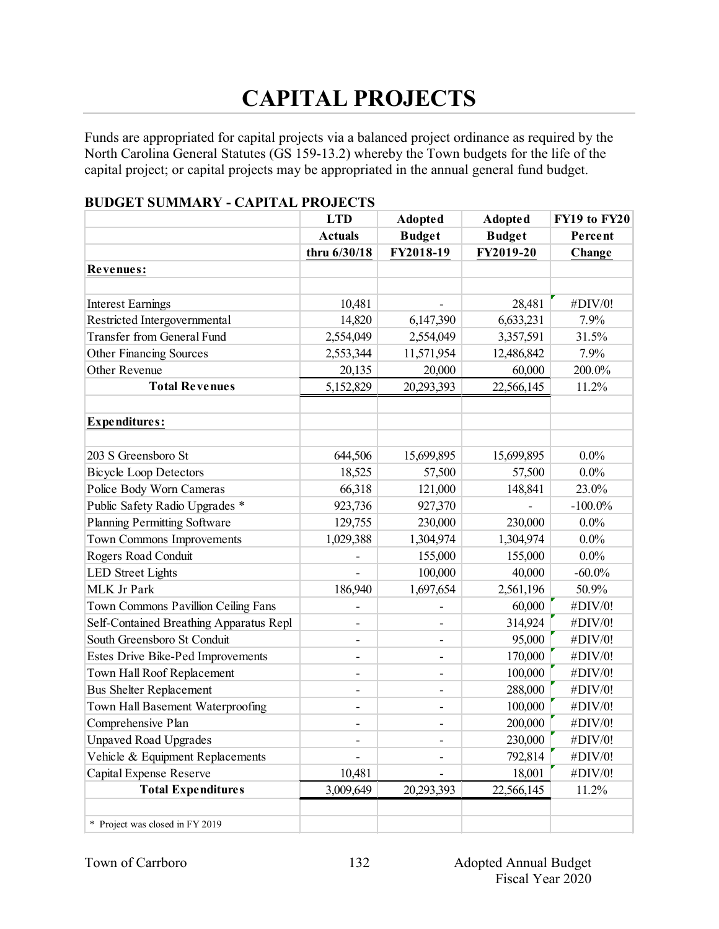# **CAPITAL PROJECTS**

Funds are appropriated for capital projects via a balanced project ordinance as required by the North Carolina General Statutes (GS 159-13.2) whereby the Town budgets for the life of the capital project; or capital projects may be appropriated in the annual general fund budget.

|                                         | <b>LTD</b>               | <b>Adopted</b>           | <b>Adopted</b> | FY19 to FY20 |
|-----------------------------------------|--------------------------|--------------------------|----------------|--------------|
|                                         | <b>Actuals</b>           | <b>Budget</b>            | <b>Budget</b>  | Percent      |
|                                         | thru 6/30/18             | FY2018-19                | FY2019-20      | Change       |
| Revenues:                               |                          |                          |                |              |
|                                         |                          |                          |                |              |
| <b>Interest Earnings</b>                | 10,481                   |                          | 28,481         | #DIV/0!      |
| Restricted Intergovernmental            | 14,820                   | 6,147,390                | 6,633,231      | 7.9%         |
| Transfer from General Fund              | 2,554,049                | 2,554,049                | 3,357,591      | 31.5%        |
| <b>Other Financing Sources</b>          | 2,553,344                | 11,571,954               | 12,486,842     | 7.9%         |
| Other Revenue                           | 20,135                   | 20,000                   | 60,000         | 200.0%       |
| <b>Total Revenues</b>                   | 5,152,829                | 20,293,393               | 22,566,145     | 11.2%        |
|                                         |                          |                          |                |              |
| <b>Expenditures:</b>                    |                          |                          |                |              |
|                                         |                          |                          |                |              |
| 203 S Greensboro St                     | 644,506                  | 15,699,895               | 15,699,895     | $0.0\%$      |
| <b>Bicycle Loop Detectors</b>           | 18,525                   | 57,500                   | 57,500         | $0.0\%$      |
| Police Body Worn Cameras                | 66,318                   | 121,000                  | 148,841        | 23.0%        |
| Public Safety Radio Upgrades *          | 923,736                  | 927,370                  |                | $-100.0\%$   |
| <b>Planning Permitting Software</b>     | 129,755                  | 230,000                  | 230,000        | $0.0\%$      |
| Town Commons Improvements               | 1,029,388                | 1,304,974                | 1,304,974      | $0.0\%$      |
| Rogers Road Conduit                     |                          | 155,000                  | 155,000        | $0.0\%$      |
| <b>LED</b> Street Lights                |                          | 100,000                  | 40,000         | $-60.0\%$    |
| MLK Jr Park                             | 186,940                  | 1,697,654                | 2,561,196      | 50.9%        |
| Town Commons Pavillion Ceiling Fans     |                          |                          | 60,000         | #DIV/0!      |
| Self-Contained Breathing Apparatus Repl | $\overline{\phantom{0}}$ | ٠                        | 314,924        | #DIV/0!      |
| South Greensboro St Conduit             | $\overline{\phantom{a}}$ | $\overline{\phantom{a}}$ | 95,000         | #DIV/0!      |
| Estes Drive Bike-Ped Improvements       | $\overline{\phantom{a}}$ | -                        | 170,000        | #DIV/0!      |
| Town Hall Roof Replacement              | -                        | ٠                        | 100,000        | #DIV/0!      |
| <b>Bus Shelter Replacement</b>          | $\overline{\phantom{a}}$ |                          | 288,000        | #DIV/0!      |
| Town Hall Basement Waterproofing        | $\overline{\phantom{a}}$ | $\overline{a}$           | 100,000        | #DIV/0!      |
| Comprehensive Plan                      | ۰                        | ۰                        | 200,000        | #DIV/0!      |
| <b>Unpaved Road Upgrades</b>            | $\overline{\phantom{0}}$ |                          | 230,000        | #DIV/0!      |
| Vehicle & Equipment Replacements        |                          | $\overline{\phantom{a}}$ | 792,814        | #DIV/0!      |
| Capital Expense Reserve                 | 10,481                   |                          | 18,001         | #DIV/0!      |
| <b>Total Expenditures</b>               | 3,009,649                | 20,293,393               | 22,566,145     | 11.2%        |
|                                         |                          |                          |                |              |
| * Project was closed in FY 2019         |                          |                          |                |              |

#### **BUDGET SUMMARY - CAPITAL PROJECTS**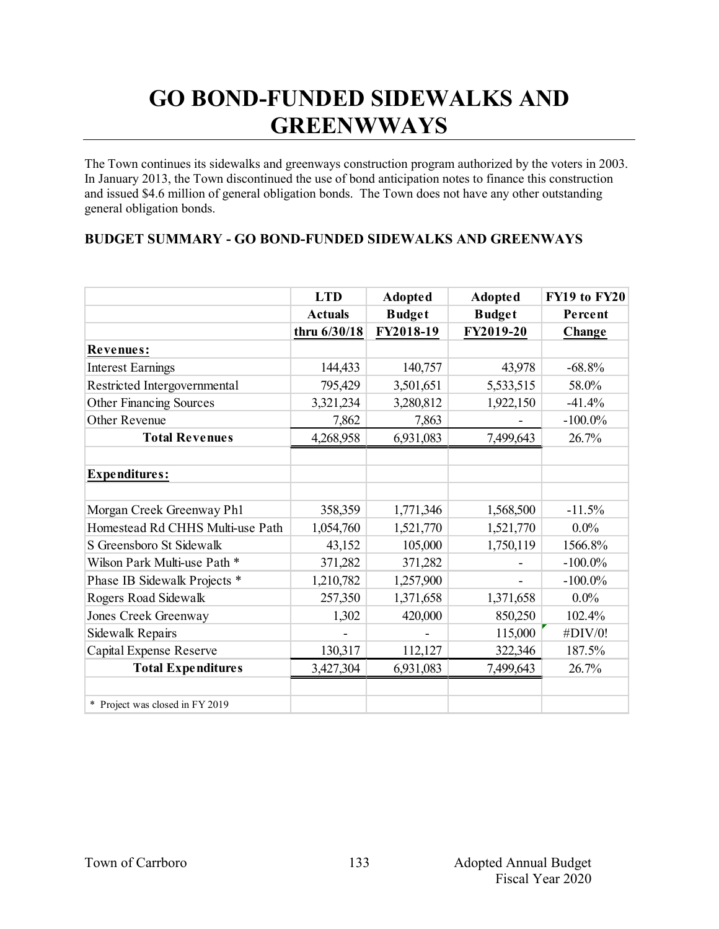### **GO BOND-FUNDED SIDEWALKS AND GREENWWAYS**

The Town continues its sidewalks and greenways construction program authorized by the voters in 2003. In January 2013, the Town discontinued the use of bond anticipation notes to finance this construction and issued \$4.6 million of general obligation bonds. The Town does not have any other outstanding general obligation bonds.

#### **BUDGET SUMMARY - GO BOND-FUNDED SIDEWALKS AND GREENWAYS**

|                                  | <b>LTD</b>     | <b>Adopted</b> | <b>Adopted</b> | FY19 to FY20  |
|----------------------------------|----------------|----------------|----------------|---------------|
|                                  | <b>Actuals</b> | <b>Budget</b>  | <b>Budget</b>  | Percent       |
|                                  | thru 6/30/18   | FY2018-19      | FY2019-20      | <b>Change</b> |
| Revenues:                        |                |                |                |               |
| <b>Interest Earnings</b>         | 144,433        | 140,757        | 43,978         | $-68.8%$      |
| Restricted Intergovernmental     | 795,429        | 3,501,651      | 5,533,515      | 58.0%         |
| <b>Other Financing Sources</b>   | 3,321,234      | 3,280,812      | 1,922,150      | $-41.4%$      |
| Other Revenue                    | 7,862          | 7,863          |                | $-100.0\%$    |
| <b>Total Revenues</b>            | 4,268,958      | 6,931,083      | 7,499,643      | 26.7%         |
|                                  |                |                |                |               |
| Expenditures:                    |                |                |                |               |
|                                  |                |                |                |               |
| Morgan Creek Greenway Ph1        | 358,359        | 1,771,346      | 1,568,500      | $-11.5%$      |
| Homestead Rd CHHS Multi-use Path | 1,054,760      | 1,521,770      | 1,521,770      | $0.0\%$       |
| S Greensboro St Sidewalk         | 43,152         | 105,000        | 1,750,119      | 1566.8%       |
| Wilson Park Multi-use Path *     | 371,282        | 371,282        |                | $-100.0\%$    |
| Phase IB Sidewalk Projects *     | 1,210,782      | 1,257,900      |                | $-100.0\%$    |
| Rogers Road Sidewalk             | 257,350        | 1,371,658      | 1,371,658      | $0.0\%$       |
| Jones Creek Greenway             | 1,302          | 420,000        | 850,250        | 102.4%        |
| Sidewalk Repairs                 |                |                | 115,000        | #DIV/0!       |
| Capital Expense Reserve          | 130,317        | 112,127        | 322,346        | 187.5%        |
| <b>Total Expenditures</b>        | 3,427,304      | 6,931,083      | 7,499,643      | 26.7%         |
|                                  |                |                |                |               |
| * Project was closed in FY 2019  |                |                |                |               |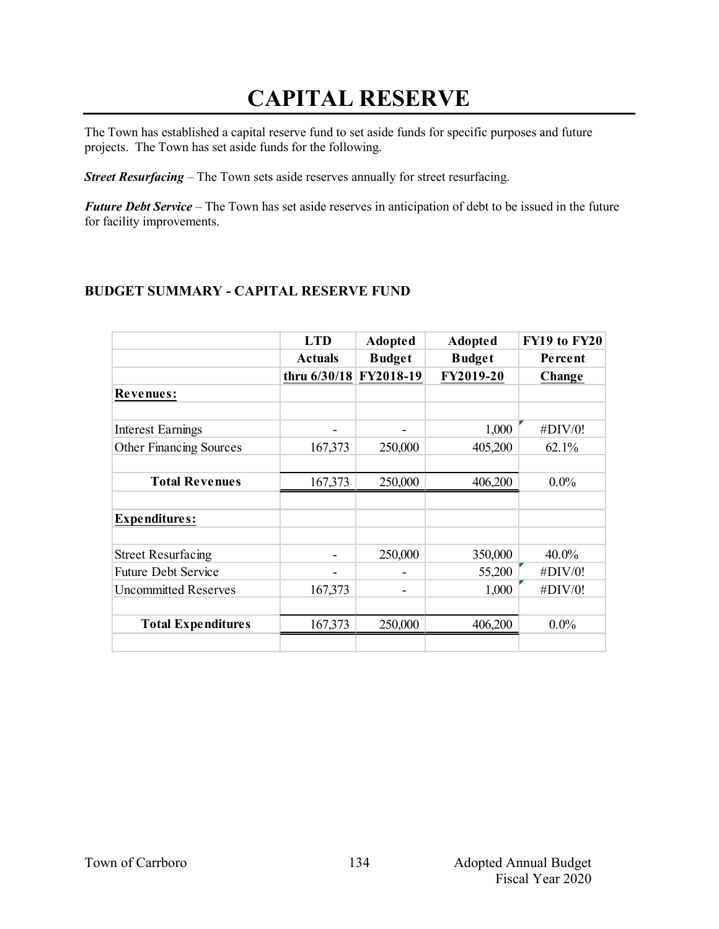## **CAPITAL RESERVE**

The Town has established a capital reserve fund to set aside funds for specific purposes and future projects. The Town has set aside funds for the following.

*Street Resurfacing* – The Town sets aside reserves annually for street resurfacing.

*Future Debt Service* – The Town has set aside reserves in anticipation of debt to be issued in the future for facility improvements.

### **BUDGET SUMMARY - CAPITAL RESERVE FUND**

|                                | <b>LTD</b>             | <b>Adopted</b> | <b>Adopted</b> | FY19 to FY20 |
|--------------------------------|------------------------|----------------|----------------|--------------|
|                                | <b>Actuals</b>         | <b>Budget</b>  | <b>Budget</b>  | Percent      |
|                                | thru 6/30/18 FY2018-19 |                | FY2019-20      | Change       |
| <b>Revenues:</b>               |                        |                |                |              |
|                                |                        |                |                |              |
| Interest Earnings              |                        |                | 1,000          | #DIV/0!      |
| <b>Other Financing Sources</b> | 167,373                | 250,000        | 405,200        | 62.1%        |
|                                |                        |                |                |              |
| <b>Total Revenues</b>          | 167,373                | 250,000        | 406,200        | $0.0\%$      |
|                                |                        |                |                |              |
| <b>Expenditures:</b>           |                        |                |                |              |
|                                |                        |                |                |              |
| <b>Street Resurfacing</b>      |                        | 250,000        | 350,000        | $40.0\%$     |
| <b>Future Debt Service</b>     |                        |                | 55,200         | #DIV/0!      |
| <b>Uncommitted Reserves</b>    | 167,373                | -              | 1,000          | #DIV/0!      |
|                                |                        |                |                |              |
| <b>Total Expenditures</b>      | 167,373                | 250,000        | 406,200        | $0.0\%$      |
|                                |                        |                |                |              |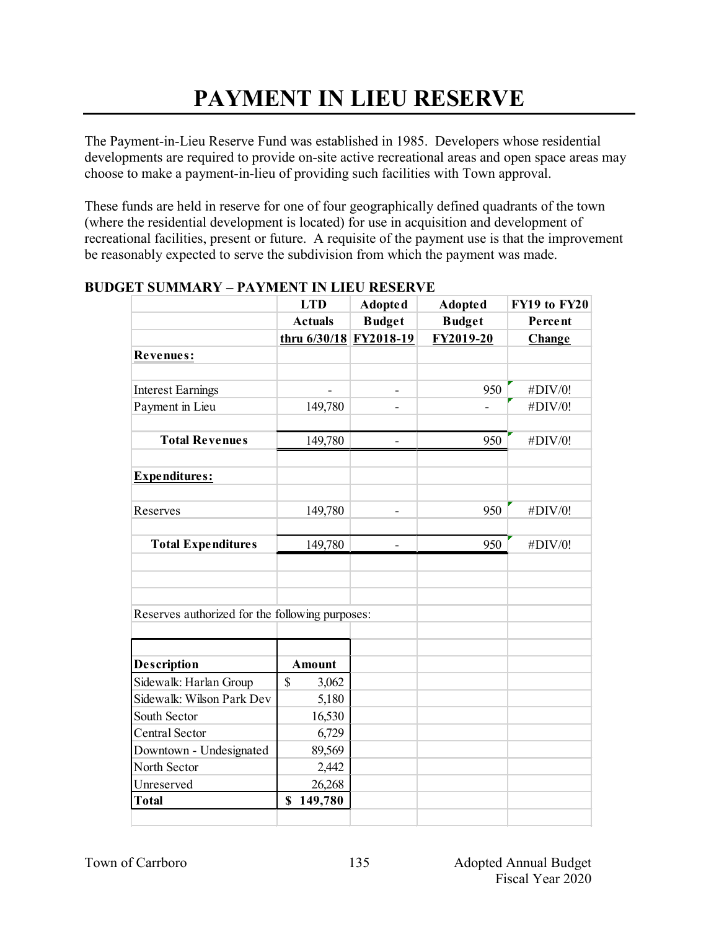# **PAYMENT IN LIEU RESERVE**

The Payment-in-Lieu Reserve Fund was established in 1985. Developers whose residential developments are required to provide on-site active recreational areas and open space areas may choose to make a payment-in-lieu of providing such facilities with Town approval.

These funds are held in reserve for one of four geographically defined quadrants of the town (where the residential development is located) for use in acquisition and development of recreational facilities, present or future. A requisite of the payment use is that the improvement be reasonably expected to serve the subdivision from which the payment was made.

|                                                 | <b>LTD</b>             | <b>Adopted</b>           | <b>Adopted</b> | <b>FY19 to FY20</b> |
|-------------------------------------------------|------------------------|--------------------------|----------------|---------------------|
|                                                 | <b>Actuals</b>         | <b>Budget</b>            | <b>Budget</b>  | Percent             |
|                                                 | thru 6/30/18 FY2018-19 |                          | FY2019-20      | Change              |
| <b>Revenues:</b>                                |                        |                          |                |                     |
|                                                 |                        |                          |                |                     |
| <b>Interest Earnings</b>                        |                        |                          | 950            | #DIV/0!             |
| Payment in Lieu                                 | 149,780                | $\overline{a}$           |                | #DIV/0!             |
|                                                 |                        |                          |                |                     |
| <b>Total Revenues</b>                           | 149,780                |                          | 950            | #DIV/0!             |
| Expenditures:                                   |                        |                          |                |                     |
| Reserves                                        | 149,780                | $\overline{\phantom{a}}$ | 950            | #DIV/0!             |
| <b>Total Expenditures</b>                       | 149,780                | $\overline{\phantom{a}}$ | 950            | #DIV/0!             |
|                                                 |                        |                          |                |                     |
|                                                 |                        |                          |                |                     |
| Reserves authorized for the following purposes: |                        |                          |                |                     |
|                                                 |                        |                          |                |                     |
| <b>Description</b>                              | <b>Amount</b>          |                          |                |                     |
| Sidewalk: Harlan Group                          | $\mathbf S$<br>3,062   |                          |                |                     |
| Sidewalk: Wilson Park Dev                       | 5,180                  |                          |                |                     |
| South Sector                                    | 16,530                 |                          |                |                     |
| <b>Central Sector</b>                           | 6,729                  |                          |                |                     |
| Downtown - Undesignated                         | 89,569                 |                          |                |                     |
| North Sector                                    | 2,442                  |                          |                |                     |
| Unreserved                                      | 26,268                 |                          |                |                     |
| <b>Total</b>                                    | \$<br>149,780          |                          |                |                     |
|                                                 |                        |                          |                |                     |

#### **BUDGET SUMMARY – PAYMENT IN LIEU RESERVE**